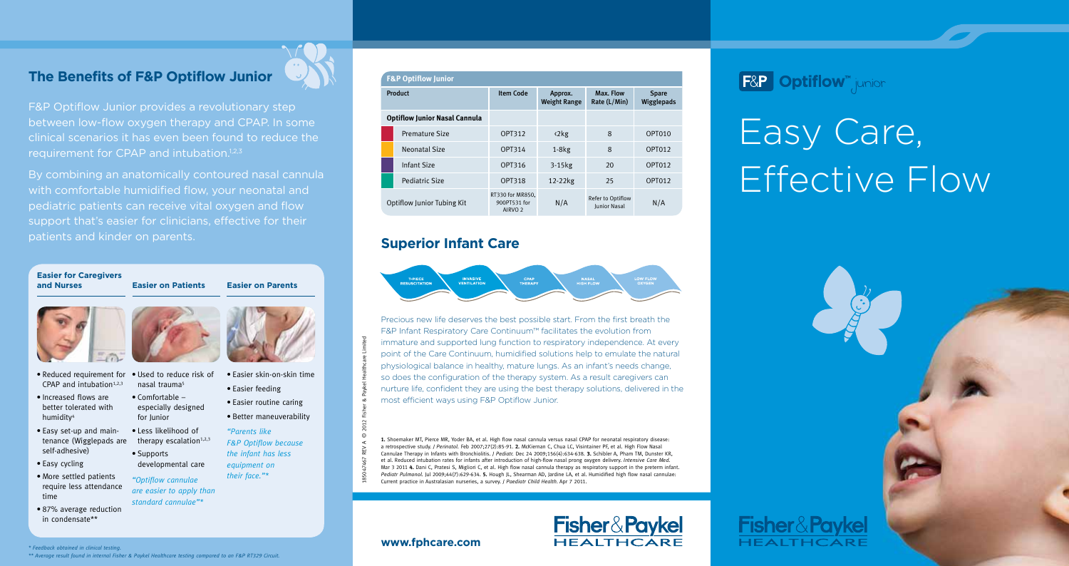# **The Benefits of F&P Optiflow Junior**



F&P Optiflow Junior provides a revolutionary step between low-flow oxygen therapy and CPAP. In some clinical scenarios it has even been found to reduce the requirement for CPAP and intubation.<sup>1,2,3</sup>

By combining an anatomically contoured nasal cannula with comfortable humidified flow, your neonatal and pediatric patients can receive vital oxygen and flow support that's easier for clinicians, effective for their patients and kinder on parents.

especially designed

developmental care

for Junior

## **Easier for Caregivers**

#### **and Nurses Easier on Patients Easier on Parents**



- • Reduced requirement for  $CPAP$  and intubation<sup>1,2,3</sup> nasal trauma<sup>5</sup>
- • Increased flows are better tolerated with humidity<sup>4</sup> • Comfortable –
- • Easy set-up and maintenance (Wigglepads are self-adhesive) • Less likelihood of therapy escalation $1,2,3$ • Supports
- Easy cycling
- More settled patients require less attendance time *"Optiflow cannulae are easier to apply than standard cannulae"\**
- • 87% average reduction in condensate\*\*

- • Used to reduce risk of • Easier skin-on-skin time • Easier feeding
	- • Easier routine caring • Better maneuverability
	- *"Parents like F&P Optiflow because*
	- *the infant has less equipment on*

*their face."\**

### **F&P Optiflow Junic**

| Product                              |                       | <b>Item Code</b>                                       | Approx.<br><b>Weight Range</b> | Max. Flow<br>Rate (L/Min)                | <b>Spare</b><br>Wigglepads |
|--------------------------------------|-----------------------|--------------------------------------------------------|--------------------------------|------------------------------------------|----------------------------|
| <b>Optiflow Junior Nasal Cannula</b> |                       |                                                        |                                |                                          |                            |
|                                      | <b>Premature Size</b> | OPT312                                                 | $\langle 2kg$                  | 8                                        | OPT010                     |
|                                      | Neonatal Size         | OPT314                                                 | $1-8kg$                        | 8                                        | OPT012                     |
|                                      | Infant Size           | OPT316                                                 | $3-15$ <sub>kg</sub>           | 20                                       | OPT012                     |
|                                      | Pediatric Size        | OPT318                                                 | $12-22kg$                      | 25                                       | OPT012                     |
| <b>Optiflow Junior Tubing Kit</b>    |                       | RT330 for MR850.<br>900PT531 for<br>AIRVO <sub>2</sub> | N/A                            | Refer to Optiflow<br><b>Iunior Nasal</b> | N/A                        |

# **Superior Infant Care**

Precious new life deserves the best possible start. From the first breath the F&P Infant Respiratory Care Continuum™ facilitates the evolution from immature and supported lung function to respiratory independence. At every point of the Care Continuum, humidified solutions help to emulate the natural physiological balance in healthy, mature lungs. As an infant's needs change, so does the configuration of the therapy system. As a result caregivers can nurture life, confident they are using the best therapy solutions, delivered in the most efficient ways using F&P Optiflow Junior.

**1.** Shoemaker MT, Pierce MR, Yoder BA, et al. High flow nasal cannula versus nasal CPAP for neonatal respiratory disease: a retrospective study. *J Perinatol.* Feb 2007;27(2):85-91. **2.** McKiernan C, Chua LC, Visintainer PF, et al. High Flow Nasal Cannulae Therapy in Infants with Bronchiolitis. *J Pediatr.* Dec 24 2009;156(4):634-638. **3.** Schibler A, Pham TM, Dunster KR, et al. Reduced intubation rates for infants after introduction of high-flow nasal prong oxygen delivery. *Intensive Care Med.* Mar 3 2011 **4.** Dani C, Pratesi S, Migliori C, et al. High flow nasal cannula therapy as respiratory support in the preterm infant. *Pediatr Pulmonol.* Jul 2009;44(7):629-634. **5.** Hough JL, Shearman AD, Jardine LA, et al. Humidified high flow nasal cannulae: Current practice in Australasian nurseries, a survey. *J Paediatr Child Health.* Apr 7 2011.

**Fisher&Paykel** 

HEAITHCARE

# **F&P Optiflow** junior

# Easy Care, Effective Flow



## **www.fphcare.com**

185047467 Rev A © 2012 Fisher & Paykel Healthcare Limited

#### *\* Feedback obtained in clinical testing.*

*\*\* Average result found in internal Fisher & Paykel Healthcare testing compared to an F&P RT329 Circuit.*